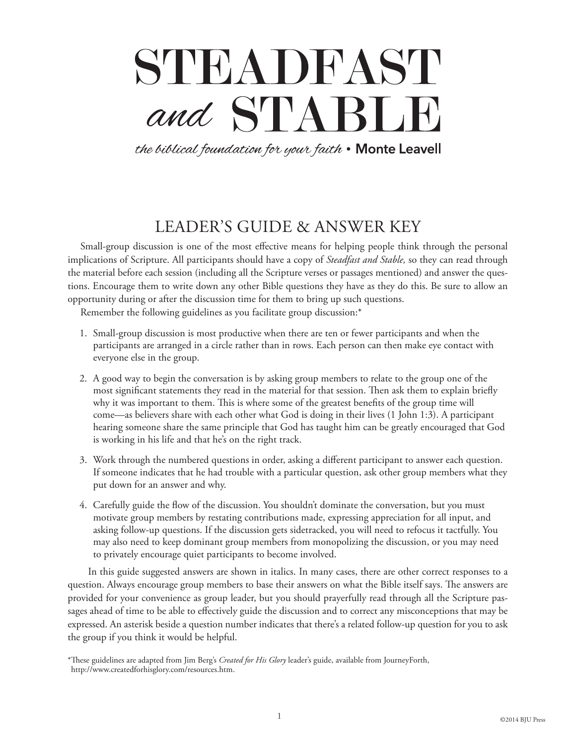# STEADFAST and STABLE

the biblical foundation for your faith . Monte Leavell

# LEADER'S GUIDE & ANSWER KEY

Small-group discussion is one of the most effective means for helping people think through the personal implications of Scripture. All participants should have a copy of *Steadfast and Stable,* so they can read through the material before each session (including all the Scripture verses or passages mentioned) and answer the questions. Encourage them to write down any other Bible questions they have as they do this. Be sure to allow an opportunity during or after the discussion time for them to bring up such questions.

Remember the following guidelines as you facilitate group discussion:\*

- 1. Small-group discussion is most productive when there are ten or fewer participants and when the participants are arranged in a circle rather than in rows. Each person can then make eye contact with everyone else in the group.
- 2. A good way to begin the conversation is by asking group members to relate to the group one of the most significant statements they read in the material for that session. Then ask them to explain briefly why it was important to them. This is where some of the greatest benefits of the group time will come—as believers share with each other what God is doing in their lives (1 John 1:3). A participant hearing someone share the same principle that God has taught him can be greatly encouraged that God is working in his life and that he's on the right track.
- 3. Work through the numbered questions in order, asking a different participant to answer each question. If someone indicates that he had trouble with a particular question, ask other group members what they put down for an answer and why.
- 4. Carefully guide the flow of the discussion. You shouldn't dominate the conversation, but you must motivate group members by restating contributions made, expressing appreciation for all input, and asking follow-up questions. If the discussion gets sidetracked, you will need to refocus it tactfully. You may also need to keep dominant group members from monopolizing the discussion, or you may need to privately encourage quiet participants to become involved.

In this guide suggested answers are shown in italics. In many cases, there are other correct responses to a question. Always encourage group members to base their answers on what the Bible itself says. The answers are provided for your convenience as group leader, but you should prayerfully read through all the Scripture passages ahead of time to be able to effectively guide the discussion and to correct any misconceptions that may be expressed. An asterisk beside a question number indicates that there's a related follow-up question for you to ask the group if you think it would be helpful.

<sup>\*</sup>These guidelines are adapted from Jim Berg's *Created for His Glory* leader's guide, available from JourneyForth, http://www.createdforhisglory.com/resources.htm.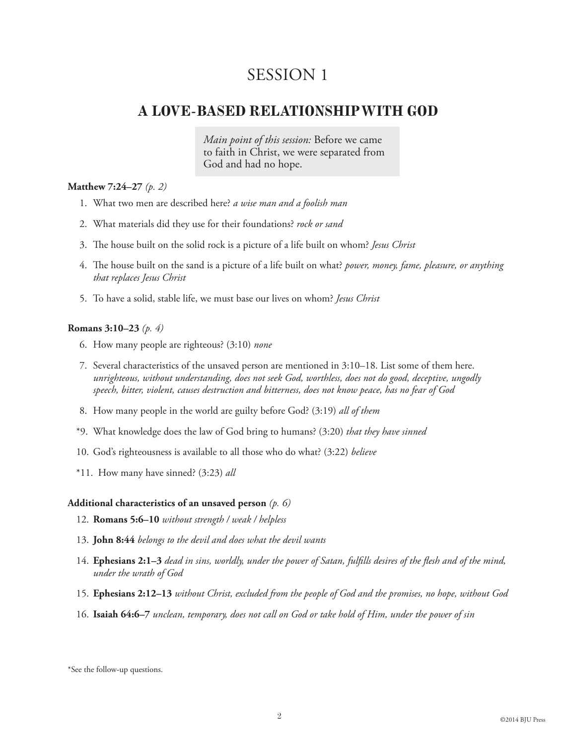## **A LOVE-BASED RELATIONSHIP WITH GOD**

*Main point of this session:* Before we came to faith in Christ, we were separated from God and had no hope.

#### **Matthew 7:24–27** *(p. 2)*

- 1. What two men are described here? *a wise man and a foolish man*
- 2. What materials did they use for their foundations? *rock or sand*
- 3. The house built on the solid rock is a picture of a life built on whom? *Jesus Christ*
- 4. The house built on the sand is a picture of a life built on what? *power, money, fame, pleasure, or anything that replaces Jesus Christ*
- 5. To have a solid, stable life, we must base our lives on whom? *Jesus Christ*

#### **Romans 3:10–23** *(p. 4)*

- 6. How many people are righteous? (3:10) *none*
- 7. Several characteristics of the unsaved person are mentioned in 3:10–18. List some of them here. *unrighteous, without understanding, does not seek God, worthless, does not do good, deceptive, ungodly speech, bitter, violent, causes destruction and bitterness, does not know peace, has no fear of God*
- 8. How many people in the world are guilty before God? (3:19) *all of them*
- \*9. What knowledge does the law of God bring to humans? (3:20) *that they have sinned*
- 10. God's righteousness is available to all those who do what? (3:22) *believe*
- \*11. How many have sinned? (3:23) *all*

#### **Additional characteristics of an unsaved person** *(p. 6)*

- 12. **Romans 5:6–10** *without strength / weak / helpless*
- 13. **John 8:44** *belongs to the devil and does what the devil wants*
- 14. **Ephesians 2:1–3** *dead in sins, worldly, under the power of Satan, fulfills desires of the flesh and of the mind, under the wrath of God*
- 15. **Ephesians 2:12–13** *without Christ, excluded from the people of God and the promises, no hope, without God*
- 16. **Isaiah 64:6–7** *unclean, temporary, does not call on God or take hold of Him, under the power of sin*

<sup>\*</sup>See the follow-up questions.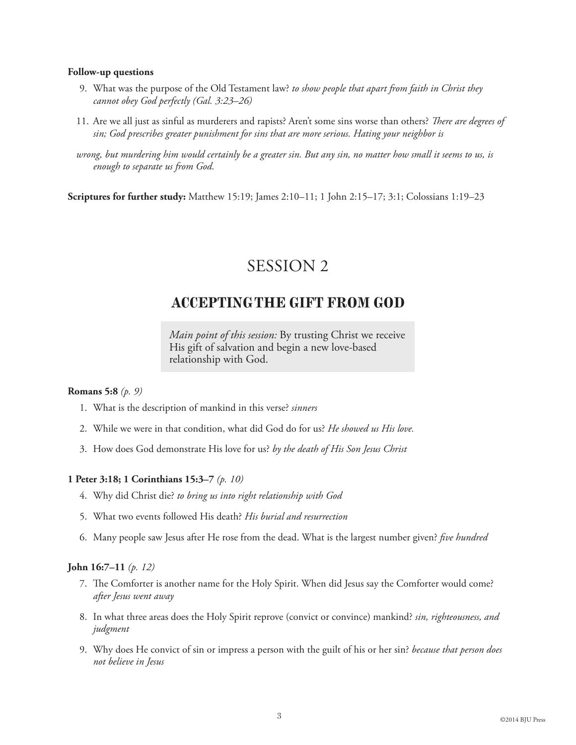#### **Follow-up questions**

- 9. What was the purpose of the Old Testament law? *to show people that apart from faith in Christ they cannot obey God perfectly (Gal. 3:23–26)*
- 11. Are we all just as sinful as murderers and rapists? Aren't some sins worse than others? *There are degrees of sin; God prescribes greater punishment for sins that are more serious. Hating your neighbor is*
- *wrong, but murdering him would certainly be a greater sin. But any sin, no matter how small it seems to us, is enough to separate us from God.*

**Scriptures for further study:** Matthew 15:19; James 2:10–11; 1 John 2:15–17; 3:1; Colossians 1:19–23

# SESSION 2

## **ACCEPTING THE GIFT FROM GOD**

*Main point of this session:* By trusting Christ we receive His gift of salvation and begin a new love-based relationship with God.

#### **Romans 5:8** *(p. 9)*

- 1. What is the description of mankind in this verse? *sinners*
- 2. While we were in that condition, what did God do for us? *He showed us His love.*
- 3. How does God demonstrate His love for us? *by the death of His Son Jesus Christ*

#### **1 Peter 3:18; 1 Corinthians 15:3–7** *(p. 10)*

- 4. Why did Christ die? *to bring us into right relationship with God*
- 5. What two events followed His death? *His burial and resurrection*
- 6. Many people saw Jesus after He rose from the dead. What is the largest number given? *five hundred*

#### **John 16:7–11** *(p. 12)*

- 7. The Comforter is another name for the Holy Spirit. When did Jesus say the Comforter would come? *after Jesus went away*
- 8. In what three areas does the Holy Spirit reprove (convict or convince) mankind? *sin, righteousness, and judgment*
- 9. Why does He convict of sin or impress a person with the guilt of his or her sin? *because that person does not believe in Jesus*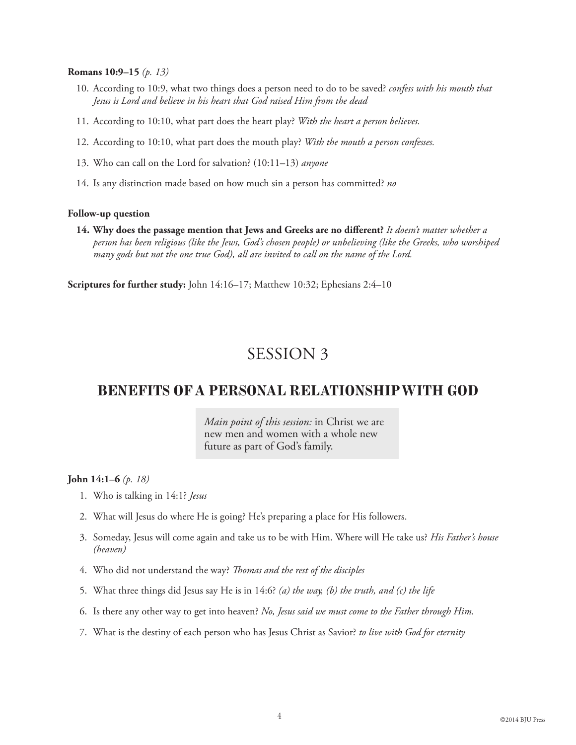#### **Romans 10:9–15** *(p. 13)*

- 10. According to 10:9, what two things does a person need to do to be saved? *confess with his mouth that Jesus is Lord and believe in his heart that God raised Him from the dead*
- 11. According to 10:10, what part does the heart play? *With the heart a person believes.*
- 12. According to 10:10, what part does the mouth play? *With the mouth a person confesses.*
- 13. Who can call on the Lord for salvation? (10:11–13) *anyone*
- 14. Is any distinction made based on how much sin a person has committed? *no*

#### **Follow-up question**

**14. Why does the passage mention that Jews and Greeks are no different?** *It doesn't matter whether a person has been religious (like the Jews, God's chosen people) or unbelieving (like the Greeks, who worshiped many gods but not the one true God), all are invited to call on the name of the Lord.*

**Scriptures for further study:** John 14:16–17; Matthew 10:32; Ephesians 2:4–10

## SESSION 3

### **BENEFITS OF A PERSONAL RELATIONSHIP WITH GOD**

*Main point of this session:* in Christ we are new men and women with a whole new future as part of God's family.

#### **John 14:1–6** *(p. 18)*

- 1. Who is talking in 14:1? *Jesus*
- 2. What will Jesus do where He is going? He's preparing a place for His followers.
- 3. Someday, Jesus will come again and take us to be with Him. Where will He take us? *His Father's house (heaven)*
- 4. Who did not understand the way? *Thomas and the rest of the disciples*
- 5. What three things did Jesus say He is in 14:6? *(a) the way, (b) the truth, and (c) the life*
- 6. Is there any other way to get into heaven? *No, Jesus said we must come to the Father through Him.*
- 7. What is the destiny of each person who has Jesus Christ as Savior? *to live with God for eternity*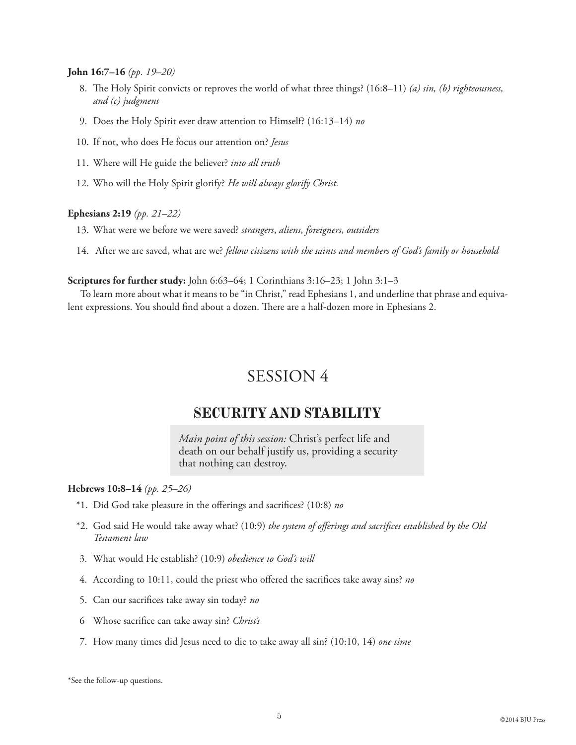#### **John 16:7–16** *(pp. 19–20)*

- 8. The Holy Spirit convicts or reproves the world of what three things? (16:8–11) *(a) sin, (b) righteousness, and (c) judgment*
- 9. Does the Holy Spirit ever draw attention to Himself? (16:13–14) *no*
- 10. If not, who does He focus our attention on? *Jesus*
- 11. Where will He guide the believer? *into all truth*
- 12. Who will the Holy Spirit glorify? *He will always glorify Christ.*

#### **Ephesians 2:19** *(pp. 21–22)*

- 13. What were we before we were saved? *strangers*, *aliens*, *foreigners*, *outsiders*
- 14. After we are saved, what are we? *fellow citizens with the saints and members of God's family or household*

#### **Scriptures for further study:** John 6:63–64; 1 Corinthians 3:16–23; 1 John 3:1–3

To learn more about what it means to be "in Christ," read Ephesians 1, and underline that phrase and equivalent expressions. You should find about a dozen. There are a half-dozen more in Ephesians 2.

# SESSION 4

## **SECURITY AND STABILITY**

*Main point of this session:* Christ's perfect life and death on our behalf justify us, providing a security that nothing can destroy.

#### **Hebrews 10:8–14** *(pp. 25–26)*

- \*1. Did God take pleasure in the offerings and sacrifices? (10:8) *no*
- \*2. God said He would take away what? (10:9) *the system of offerings and sacrifices established by the Old Testament law*
- 3. What would He establish? (10:9) *obedience to God's will*
- 4. According to 10:11, could the priest who offered the sacrifices take away sins? *no*
- 5. Can our sacrifices take away sin today? *no*
- 6 Whose sacrifice can take away sin? *Christ's*
- 7. How many times did Jesus need to die to take away all sin? (10:10, 14) *one time*

\*See the follow-up questions.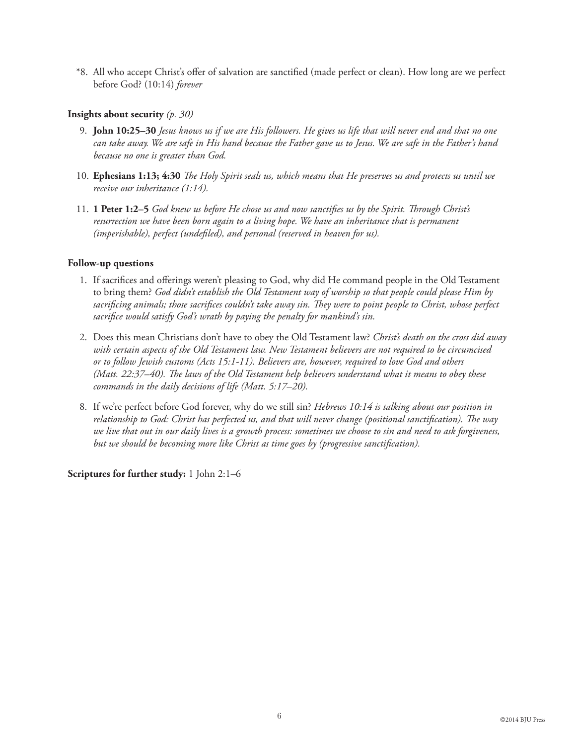\*8. All who accept Christ's offer of salvation are sanctified (made perfect or clean). How long are we perfect before God? (10:14) *forever*

#### **Insights about security** *(p. 30)*

- 9. **John 10:25–30** *Jesus knows us if we are His followers. He gives us life that will never end and that no one can take away. We are safe in His hand because the Father gave us to Jesus. We are safe in the Father's hand because no one is greater than God.*
- 10. **Ephesians 1:13; 4:30** *The Holy Spirit seals us, which means that He preserves us and protects us until we receive our inheritance (1:14).*
- 11. **1 Peter 1:2–5** *God knew us before He chose us and now sanctifies us by the Spirit. Through Christ's resurrection we have been born again to a living hope. We have an inheritance that is permanent (imperishable), perfect (undefiled), and personal (reserved in heaven for us).*

#### **Follow-up questions**

- 1. If sacrifices and offerings weren't pleasing to God, why did He command people in the Old Testament to bring them? *God didn't establish the Old Testament way of worship so that people could please Him by sacrificing animals; those sacrifices couldn't take away sin. They were to point people to Christ, whose perfect sacrifice would satisfy God's wrath by paying the penalty for mankind's sin.*
- 2. Does this mean Christians don't have to obey the Old Testament law? *Christ's death on the cross did away with certain aspects of the Old Testament law. New Testament believers are not required to be circumcised or to follow Jewish customs (Acts 15:1-11). Believers are, however, required to love God and others (Matt. 22:37–40). The laws of the Old Testament help believers understand what it means to obey these commands in the daily decisions of life (Matt. 5:17–20).*
- 8. If we're perfect before God forever, why do we still sin? *Hebrews 10:14 is talking about our position in relationship to God: Christ has perfected us, and that will never change (positional sanctification). The way we live that out in our daily lives is a growth process: sometimes we choose to sin and need to ask forgiveness, but we should be becoming more like Christ as time goes by (progressive sanctification).*

**Scriptures for further study:** 1 John 2:1–6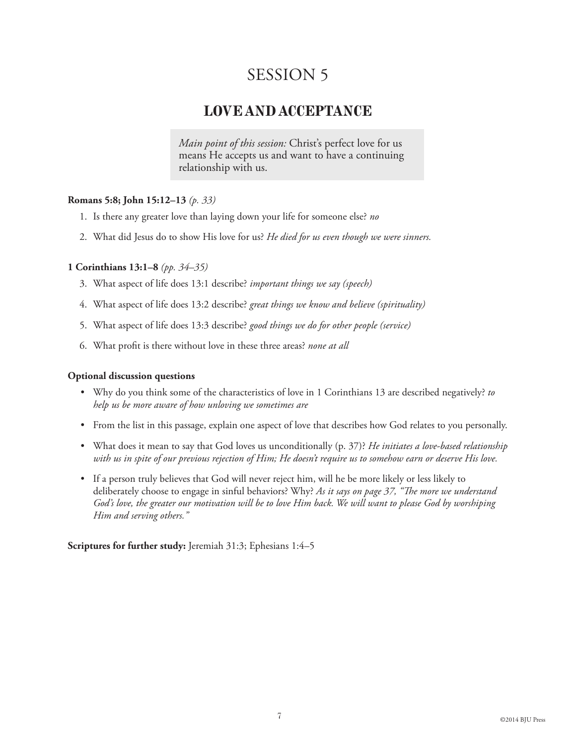## **LOVE AND ACCEPTANCE**

*Main point of this session:* Christ's perfect love for us means He accepts us and want to have a continuing relationship with us.

#### **Romans 5:8; John 15:12–13** *(p. 33)*

- 1. Is there any greater love than laying down your life for someone else? *no*
- 2. What did Jesus do to show His love for us? *He died for us even though we were sinners.*

#### **1 Corinthians 13:1–8** *(pp. 34–35)*

- 3. What aspect of life does 13:1 describe? *important things we say (speech)*
- 4. What aspect of life does 13:2 describe? *great things we know and believe (spirituality)*
- 5. What aspect of life does 13:3 describe? *good things we do for other people (service)*
- 6. What profit is there without love in these three areas? *none at all*

#### **Optional discussion questions**

- • Why do you think some of the characteristics of love in 1 Corinthians 13 are described negatively? *to help us be more aware of how unloving we sometimes are*
- • From the list in this passage, explain one aspect of love that describes how God relates to you personally.
- • What does it mean to say that God loves us unconditionally (p. 37)? *He initiates a love-based relationship with us in spite of our previous rejection of Him; He doesn't require us to somehow earn or deserve His love.*
- • If a person truly believes that God will never reject him, will he be more likely or less likely to deliberately choose to engage in sinful behaviors? Why? *As it says on page 37, "The more we understand God's love, the greater our motivation will be to love Him back. We will want to please God by worshiping Him and serving others."*

**Scriptures for further study:** Jeremiah 31:3; Ephesians 1:4–5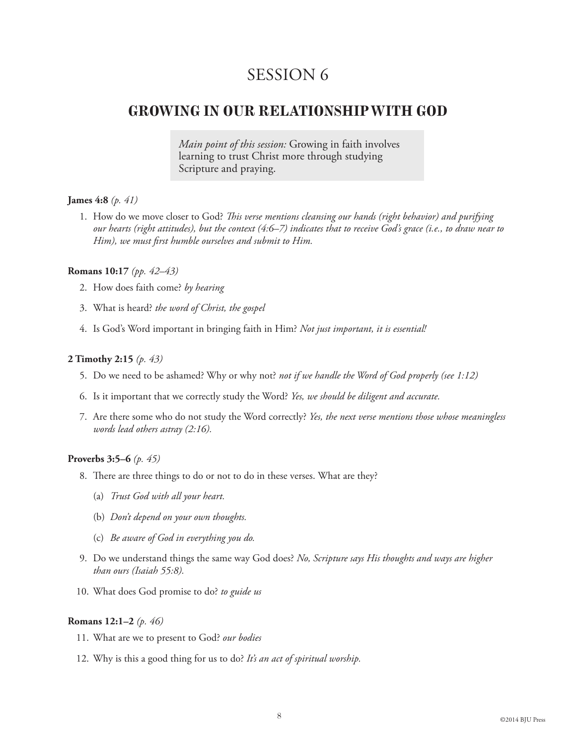## **GROWING IN OUR RELATIONSHIP WITH GOD**

*Main point of this session:* Growing in faith involves learning to trust Christ more through studying Scripture and praying.

#### **James 4:8** *(p. 41)*

1. How do we move closer to God? *This verse mentions cleansing our hands (right behavior) and purifying our hearts (right attitudes), but the context (4:6–7) indicates that to receive God's grace (i.e., to draw near to Him), we must first humble ourselves and submit to Him.*

#### **Romans 10:17** *(pp. 42–43)*

- 2. How does faith come? *by hearing*
- 3. What is heard? *the word of Christ, the gospel*
- 4. Is God's Word important in bringing faith in Him? *Not just important, it is essential!*

#### **2 Timothy 2:15** *(p. 43)*

- 5. Do we need to be ashamed? Why or why not? *not if we handle the Word of God properly (see 1:12)*
- 6. Is it important that we correctly study the Word? *Yes, we should be diligent and accurate.*
- 7. Are there some who do not study the Word correctly? *Yes, the next verse mentions those whose meaningless words lead others astray (2:16).*

#### **Proverbs 3:5–6** *(p. 45)*

- 8. There are three things to do or not to do in these verses. What are they?
	- (a) *Trust God with all your heart.*
	- (b) *Don't depend on your own thoughts.*
	- (c) *Be aware of God in everything you do.*
- 9. Do we understand things the same way God does? *No, Scripture says His thoughts and ways are higher than ours (Isaiah 55:8).*
- 10. What does God promise to do? *to guide us*

#### **Romans 12:1–2** *(p. 46)*

- 11. What are we to present to God? *our bodies*
- 12. Why is this a good thing for us to do? *It's an act of spiritual worship.*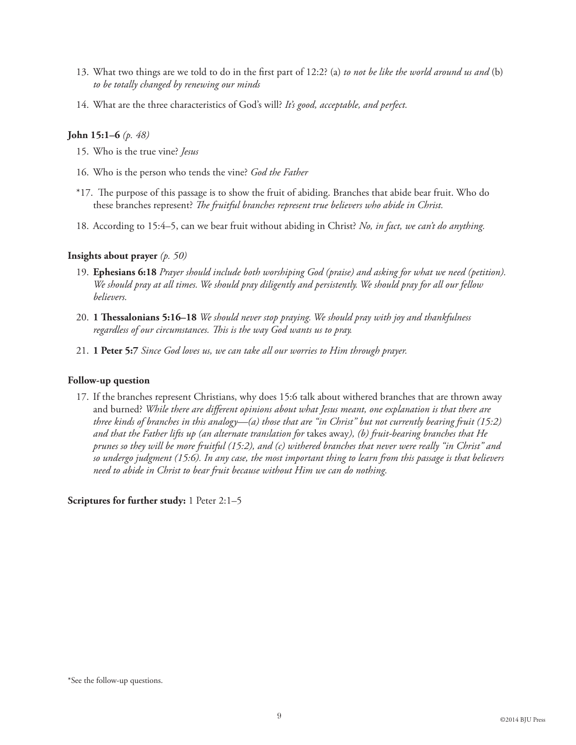- 13. What two things are we told to do in the first part of 12:2? (a) *to not be like the world around us and* (b) *to be totally changed by renewing our minds*
- 14. What are the three characteristics of God's will? *It's good, acceptable, and perfect.*

#### **John 15:1–6** *(p. 48)*

- 15. Who is the true vine? *Jesus*
- 16. Who is the person who tends the vine? *God the Father*
- \*17. The purpose of this passage is to show the fruit of abiding. Branches that abide bear fruit. Who do these branches represent? *The fruitful branches represent true believers who abide in Christ.*
- 18. According to 15:4–5, can we bear fruit without abiding in Christ? *No, in fact, we can't do anything.*

#### **Insights about prayer** *(p. 50)*

- 19. **Ephesians 6:18** *Prayer should include both worshiping God (praise) and asking for what we need (petition). We should pray at all times. We should pray diligently and persistently. We should pray for all our fellow believers.*
- 20. **1 Thessalonians 5:16–18** *We should never stop praying. We should pray with joy and thankfulness regardless of our circumstances. This is the way God wants us to pray.*
- 21. **1 Peter 5:7** *Since God loves us, we can take all our worries to Him through prayer.*

#### **Follow-up question**

17. If the branches represent Christians, why does 15:6 talk about withered branches that are thrown away and burned? *While there are different opinions about what Jesus meant, one explanation is that there are three kinds of branches in this analogy—(a) those that are "in Christ" but not currently bearing fruit (15:2) and that the Father lifts up (an alternate translation for* takes away*), (b) fruit-bearing branches that He prunes so they will be more fruitful (15:2), and (c) withered branches that never were really "in Christ" and so undergo judgment (15:6). In any case, the most important thing to learn from this passage is that believers need to abide in Christ to bear fruit because without Him we can do nothing.*

**Scriptures for further study:** 1 Peter 2:1–5

<sup>\*</sup>See the follow-up questions.